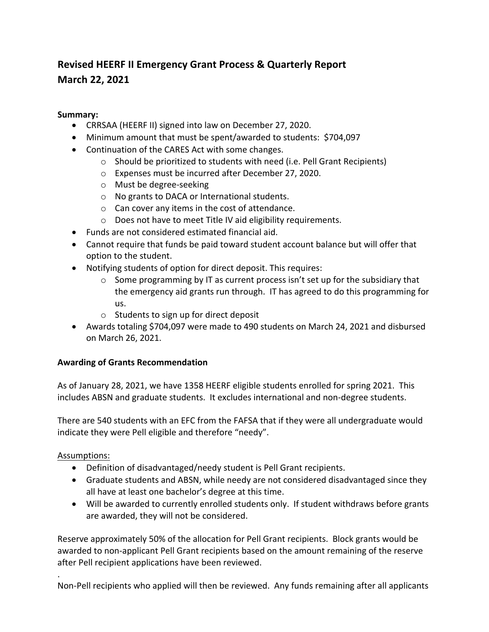# **Revised HEERF II Emergency Grant Process & Quarterly Report March 22, 2021**

## **Summary:**

- CRRSAA (HEERF II) signed into law on December 27, 2020.
- Minimum amount that must be spent/awarded to students: \$704,097
- Continuation of the CARES Act with some changes.
	- o Should be prioritized to students with need (i.e. Pell Grant Recipients)
	- o Expenses must be incurred after December 27, 2020.
	- o Must be degree‐seeking
	- o No grants to DACA or International students.
	- o Can cover any items in the cost of attendance.
	- o Does not have to meet Title IV aid eligibility requirements.
- Funds are not considered estimated financial aid.
- Cannot require that funds be paid toward student account balance but will offer that option to the student.
- Notifying students of option for direct deposit. This requires:
	- $\circ$  Some programming by IT as current process isn't set up for the subsidiary that the emergency aid grants run through. IT has agreed to do this programming for us.
	- o Students to sign up for direct deposit
- Awards totaling \$704,097 were made to 490 students on March 24, 2021 and disbursed on March 26, 2021.

# **Awarding of Grants Recommendation**

As of January 28, 2021, we have 1358 HEERF eligible students enrolled for spring 2021. This includes ABSN and graduate students. It excludes international and non‐degree students.

There are 540 students with an EFC from the FAFSA that if they were all undergraduate would indicate they were Pell eligible and therefore "needy".

Assumptions:

- Definition of disadvantaged/needy student is Pell Grant recipients.
- Graduate students and ABSN, while needy are not considered disadvantaged since they all have at least one bachelor's degree at this time.
- Will be awarded to currently enrolled students only. If student withdraws before grants are awarded, they will not be considered.

Reserve approximately 50% of the allocation for Pell Grant recipients. Block grants would be awarded to non‐applicant Pell Grant recipients based on the amount remaining of the reserve after Pell recipient applications have been reviewed.

. Non-Pell recipients who applied will then be reviewed. Any funds remaining after all applicants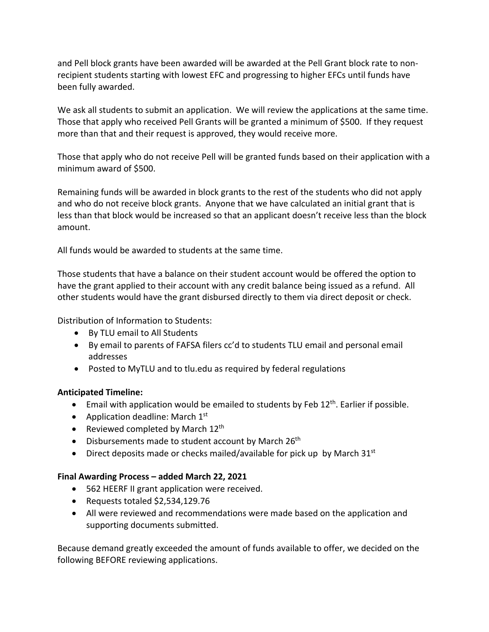and Pell block grants have been awarded will be awarded at the Pell Grant block rate to non‐ recipient students starting with lowest EFC and progressing to higher EFCs until funds have been fully awarded.

We ask all students to submit an application. We will review the applications at the same time. Those that apply who received Pell Grants will be granted a minimum of \$500. If they request more than that and their request is approved, they would receive more.

Those that apply who do not receive Pell will be granted funds based on their application with a minimum award of \$500.

Remaining funds will be awarded in block grants to the rest of the students who did not apply and who do not receive block grants. Anyone that we have calculated an initial grant that is less than that block would be increased so that an applicant doesn't receive less than the block amount.

All funds would be awarded to students at the same time.

Those students that have a balance on their student account would be offered the option to have the grant applied to their account with any credit balance being issued as a refund. All other students would have the grant disbursed directly to them via direct deposit or check.

Distribution of Information to Students:

- By TLU email to All Students
- By email to parents of FAFSA filers cc'd to students TLU email and personal email addresses
- Posted to MyTLU and to tlu.edu as required by federal regulations

## **Anticipated Timeline:**

- **Email with application would be emailed to students by Feb 12<sup>th</sup>. Earlier if possible.**
- Application deadline: March  $1<sup>st</sup>$
- Reviewed completed by March  $12<sup>th</sup>$
- $\bullet$  Disbursements made to student account by March 26<sup>th</sup>
- **•** Direct deposits made or checks mailed/available for pick up by March  $31<sup>st</sup>$

#### **Final Awarding Process – added March 22, 2021**

- 562 HEERF II grant application were received.
- Requests totaled \$2,534,129.76
- All were reviewed and recommendations were made based on the application and supporting documents submitted.

Because demand greatly exceeded the amount of funds available to offer, we decided on the following BEFORE reviewing applications.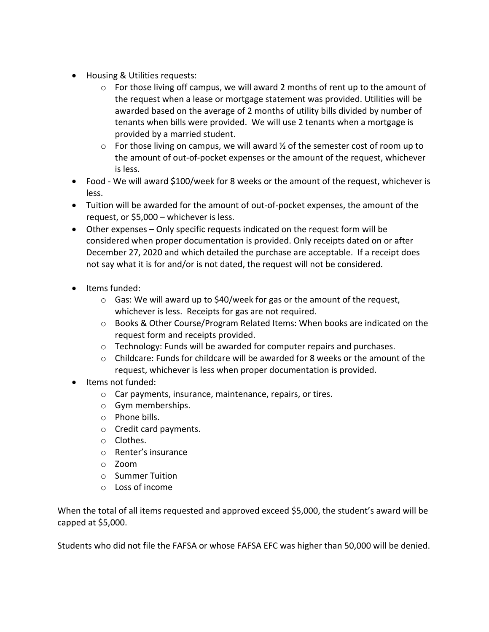- Housing & Utilities requests:
	- o For those living off campus, we will award 2 months of rent up to the amount of the request when a lease or mortgage statement was provided. Utilities will be awarded based on the average of 2 months of utility bills divided by number of tenants when bills were provided. We will use 2 tenants when a mortgage is provided by a married student.
	- $\circ$  For those living on campus, we will award  $\frac{1}{2}$  of the semester cost of room up to the amount of out‐of‐pocket expenses or the amount of the request, whichever is less.
- Food We will award \$100/week for 8 weeks or the amount of the request, whichever is less.
- Tuition will be awarded for the amount of out‐of‐pocket expenses, the amount of the request, or \$5,000 – whichever is less.
- Other expenses Only specific requests indicated on the request form will be considered when proper documentation is provided. Only receipts dated on or after December 27, 2020 and which detailed the purchase are acceptable. If a receipt does not say what it is for and/or is not dated, the request will not be considered.
- Items funded:
	- $\circ$  Gas: We will award up to \$40/week for gas or the amount of the request, whichever is less. Receipts for gas are not required.
	- o Books & Other Course/Program Related Items: When books are indicated on the request form and receipts provided.
	- o Technology: Funds will be awarded for computer repairs and purchases.
	- $\circ$  Childcare: Funds for childcare will be awarded for 8 weeks or the amount of the request, whichever is less when proper documentation is provided.
- Items not funded:
	- o Car payments, insurance, maintenance, repairs, or tires.
	- o Gym memberships.
	- o Phone bills.
	- o Credit card payments.
	- o Clothes.
	- o Renter's insurance
	- o Zoom
	- o Summer Tuition
	- o Loss of income

When the total of all items requested and approved exceed \$5,000, the student's award will be capped at \$5,000.

Students who did not file the FAFSA or whose FAFSA EFC was higher than 50,000 will be denied.